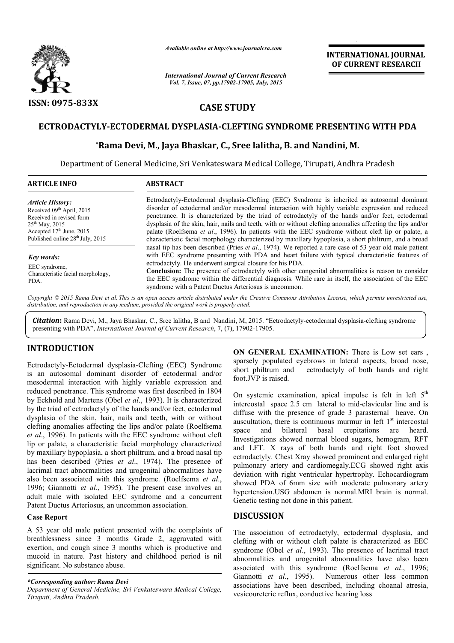

*Available online at http://www.journalcra.com*

*International Journal of Current Research Vol. 7, Issue, 07, pp.17902-17905, July, 2015*

**INTERNATIONAL INTERNATIONAL JOURNAL OF CURRENT RESEARCH** 

## **CASE STUDY**

## **ECTRODACTYLY-ECTODERMAL DYSPLASIA ECTODERMAL DYSPLASIA-CLEFTING SYNDROME PRESENTING WITH PDA**

# LY-ECTODERMAL DYSPLASIA-CLEFTING SYNDROME PRESENTI<br>\*Rama Devi, M., Jaya Bhaskar, C., Sree lalitha, B. and Nandini, M.

Department of General Medicine, Sri Venkateswara Medical College, Tirupati, Andhra Pradesh Medicine,

| <b>ARTICLE INFO</b>                                                                                                                                                                               | <b>ABSTRACT</b>                                                                                                                                                                                                                                                                                                                                                                                                                                                                                                                                                                                                                                                                                                                                                                                                                                                                                                                                                                                                                                                                                                                                                                                          |
|---------------------------------------------------------------------------------------------------------------------------------------------------------------------------------------------------|----------------------------------------------------------------------------------------------------------------------------------------------------------------------------------------------------------------------------------------------------------------------------------------------------------------------------------------------------------------------------------------------------------------------------------------------------------------------------------------------------------------------------------------------------------------------------------------------------------------------------------------------------------------------------------------------------------------------------------------------------------------------------------------------------------------------------------------------------------------------------------------------------------------------------------------------------------------------------------------------------------------------------------------------------------------------------------------------------------------------------------------------------------------------------------------------------------|
| <b>Article History:</b><br>Received 09 <sup>th</sup> April, 2015<br>Received in revised form<br>$25^{th}$ May, 2015<br>Accepted $17th$ June, 2015<br>Published online 28 <sup>th</sup> July, 2015 | Ectrodactyly-Ectodermal dysplasia-Clefting (EEC) Syndrome is inherited as autosomal dominant<br>disorder of ectodermal and/or mesodermal interaction with highly variable expression and reduced<br>penetrance. It is characterized by the triad of ectrodactyly of the hands and/or feet, ectodermal<br>dysplasia of the skin, hair, nails and teeth, with or without clefting anomalies affecting the lips and/or<br>palate (Roelfsema <i>et al.</i> , 1996). In patients with the EEC syndrome without cleft lip or palate, a<br>characteristic facial morphology characterized by maxillary hypoplasia, a short philtrum, and a broad<br>nasal tip has been described (Pries <i>et al.</i> , 1974). We reported a rare case of 53 year old male patient<br>with EEC syndrome presenting with PDA and heart failure with typical characteristic features of<br>ectrodactyly. He underwent surgical closure for his PDA.<br><b>Conclusion:</b> The presence of ectrodactyly with other congenital abnormalities is reason to consider<br>the EEC syndrome within the differential diagnosis. While rare in itself, the association of the EEC<br>syndrome with a Patent Ductus Arteriosus is uncommon. |
| Key words:<br>EEC syndrome.<br>Characteristic facial morphology,<br>PDA.                                                                                                                          |                                                                                                                                                                                                                                                                                                                                                                                                                                                                                                                                                                                                                                                                                                                                                                                                                                                                                                                                                                                                                                                                                                                                                                                                          |

*Copyright © 2015 Rama Devi et al. This is an open access article distributed under the Creative Commons Att Attribution License, which ribution permits unrestricted use, distribution, and reproduction in any medium, provided the original work is properly cited.*

Citation: Rama Devi, M., Jaya Bhaskar, C., Sree lalitha, B and Nandini, M, 2015. "Ectrodactyly-ectodermal dysplasia-clefting syndrome presenting with PDA", *International Journal of Current Research*, 7, (7), 17902-17905.

## **INTRODUCTION**

Ectrodactyly-Ectodermal dysplasia-Clefting (EEC) Syndrome is an autosomal dominant disorder of ectodermal and/or mesodermal interaction with highly variable expression and reduced penetrance. This syndrome was first described in 1804 Ectrodactyly-Ectodermal dysplasia-Clefting (EEC) Syndrome<br>is an autosomal dominant disorder of ectodermal and/or<br>mesodermal interaction with highly variable expression and<br>reduced penetrance. This syndrome was first descri by the triad of ectrodactyly of the hands and/or feet, ectodermal dysplasia of the skin, hair, nails and teeth, with or without clefting anomalies affecting the lips and/or palate (Roelfsema *et al*., 1996). In patients with the EEC syndrome without cleft lip or palate, a characteristic facial morphology characterized by maxillary hypoplasia, a short philtrum, and a broad nasal tip has been described (Pries *et al*., 1974). The presence of lacrimal tract abnormalities and urogenital abnormalities have also been associated with this syndrome. ( (Roelfsema *et al*., 1996; Giannotti *et al*., 1995). The present case involves an 1996; Giannotti et al., 1995). The present case involves an adult male with isolated EEC syndrome and a concurrent Patent Ductus Arteriosus, an uncommon association.

#### **Case Report**

A 53 year old male patient presented with the complaints of breathlessness since 3 months Grade 2, aggravated with exertion, and cough since 3 months which is productive and mucoid in nature. Past history and childhood period is nil significant. No substance abuse.

#### *\*Corresponding author: Rama Devi*

*Department of General Medicine, Sri Venkateswara Medical College, Tirupati, Andhra Pradesh.*

**ON GENERAL EXAMINATION GENERAL EXAMINATION:** There is Low set ears , sparsely populated eyebrows in lateral aspects, broad nose, short philtrum and ectrodactyly of both hands and right foot.JVP is raised. sparsely populated eyebrows in lateral aspects, broad nose, short philtrum and ectrodactyly of both hands and right foot. JVP is raised.<br>On systemic examination, apical impulse is felt in left  $5<sup>th</sup>$ 

intercostal space 2.5 cm lateral to mid-clavicular line and is diffuse with the presence of grade 3 parasternal heave. On auscultation, there is continuous murmur in left  $1<sup>st</sup>$  intercostal space and bilateral basal crepitations are heard. Investigations showed normal blood sugars, hemogram, RFT and LFT. X rays of both hands and right foot showed ectrodactyly. Chest Xray showed prominent and enlarged right pulmonary artery and cardiomegaly.ECG showed right axis deviation with right ventricular hypertrophy. Echocardiogram showed PDA of 6mm size with moderate pulmonary artery hypertension.USG abdomen is normal.MRI brain is normal. Genetic testing not done in this patient. restigations showed normal blood sugars, he<br>d LFT. X rays of both hands and right<br>rodactyly. Chest Xray showed prominent and<br>lmonary artery and cardiomegaly.ECG show<br>viation with right ventricular hypertrophy. E<br>owed PDA o **INTERNATIONAL JOURNAL**<br> **OF CURRENT RESEARCH**<br> **CF CURRENT RESEARCH**<br> **CF CURRENT RESEARCH**<br> **CF CURRENT RESEARCH**<br> **CF CURRENT RESEARCH**<br> **CF CURRENT RESEARCH**<br> **CF** CONDING **WITH PDA**<br> **CF** CONDING **CF** (*C* conditiona

## **DISCUSSION**

The association of ectrodactyly, ectodermal dysplasia, and clefting with or without cleft palate is characterized as EEC syndrome (Obel *et al.*, 1993). The presence of lacrimal tract abnormalities and urogenital abnormalities have also been associated with this syndrome (Roelfsema *et al*., 1996; Giannotti *et al*., 1995). Numerous other less common associations have been described, including choanal atresia, vesicoureteric reflux, conductive hearing loss Genetic testing not done in this patient.<br> **DISCUSSION**<br>
The association of ectrodactyly, ectodermal dysplasia, and<br>
clefting with or without cleft palate is characterized as EEC<br>
syndrome (Obel *et al.*, 1993). The presen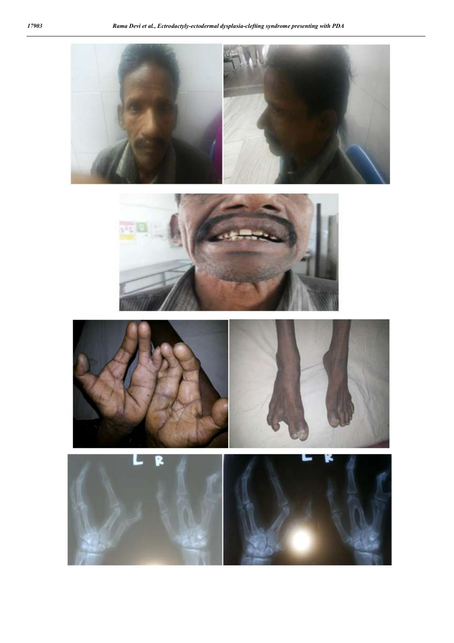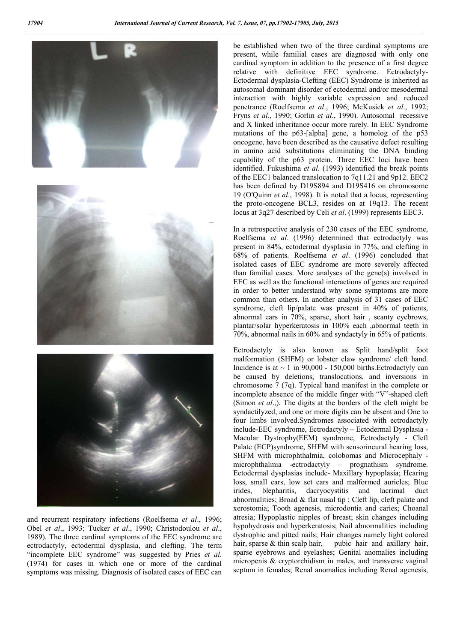

and recurrent respiratory infections (Roelfsema *et al*., 1996; Obel *et al*., 1993; Tucker *et al*., 1990; Christodoulou *et al*., 1989). The three cardinal symptoms of the EEC syndrome are ectrodactyly, ectodermal dysplasia, and clefting. The term "incomplete EEC syndrome" was suggested by Pries *et al*. (1974) for cases in which one or more of the cardinal symptoms was missing. Diagnosis of isolated cases of EEC can

be established when two of the three cardinal symptoms are present, while familial cases are diagnosed with only one cardinal symptom in addition to the presence of a first degree relative with definitive EEC syndrome. Ectrodactyly-Ectodermal dysplasia-Clefting (EEC) Syndrome is inherited as autosomal dominant disorder of ectodermal and/or mesodermal interaction with highly variable expression and reduced penetrance (Roelfsema *et al*., 1996; McKusick *et al*., 1992; Fryns *et al*., 1990; Gorlin *et al*., 1990). Autosomal recessive and X linked inheritance occur more rarely. In EEC Syndrome mutations of the p63-[alpha] gene, a homolog of the p53 oncogene, have been described as the causative defect resulting in amino acid substitutions eliminating the DNA binding capability of the p63 protein. Three EEC loci have been identified. Fukushima *et al*. (1993) identified the break points of the EEC1 balanced translocation to 7q11.21 and 9p12. EEC2 has been defined by D19S894 and D19S416 on chromosome 19 (O'Quinn *et al*., 1998). It is noted that a locus, representing the proto-oncogene BCL3, resides on at 19q13. The recent locus at 3q27 described by Celi *et al*. (1999) represents EEC3.

In a retrospective analysis of 230 cases of the EEC syndrome, Roelfsema *et al*. (1996) determined that ectrodactyly was present in 84%, ectodermal dysplasia in 77%, and clefting in 68% of patients. Roelfsema *et al*. (1996) concluded that isolated cases of EEC syndrome are more severely affected than familial cases. More analyses of the gene(s) involved in EEC as well as the functional interactions of genes are required in order to better understand why some symptoms are more common than others. In another analysis of 31 cases of EEC syndrome, cleft lip/palate was present in 40% of patients, abnormal ears in 70%, sparse, short hair , scanty eyebrows, plantar/solar hyperkeratosis in 100% each ,abnormal teeth in 70%, abnormal nails in 60% and syndactyly in 65% of patients.

Ectrodactyly is also known as Split hand/split foot malformation (SHFM) or lobster claw syndrome/ cleft hand. Incidence is at  $\sim$  1 in 90,000 - 150,000 births. Ectrodactyly can be caused by deletions, translocations, and inversions in chromosome 7 (7q). Typical hand manifest in the complete or incomplete absence of the middle finger with "V"-shaped cleft (Simon *et al*.,). The digits at the borders of the cleft might be syndactilyzed, and one or more digits can be absent and One to four limbs involved.Syndromes associated with ectrodactyly include-EEC syndrome, Ectrodactyly – Ectodermal Dysplasia - Macular Dystrophy(EEM) syndrome, Ectrodactyly - Cleft Palate (ECP)syndrome, SHFM with sensorineural hearing loss, SHFM with microphthalmia, colobomas and Microcephaly microphthalmia -ectrodactyly – prognathism syndrome. Ectodermal dysplasias include- Maxillary hypoplasia; Hearing loss, small ears, low set ears and malformed auricles; Blue irides, blepharitis, dacryocystitis and lacrimal duct abnormalities; Broad & flat nasal tip ; Cleft lip, cleft palate and xerostomia; Tooth agenesis, microdontia and caries; Choanal atresia; Hypoplastic nipples of breast; skin changes including hypohydrosis and hyperkeratosis; Nail abnormalities including dystrophic and pitted nails; Hair changes namely light colored hair, sparse & thin scalp hair, pubic hair and axillary hair, sparse eyebrows and eyelashes; Genital anomalies including micropenis & cryptorchidism in males, and transverse vaginal septum in females; Renal anomalies including Renal agenesis,